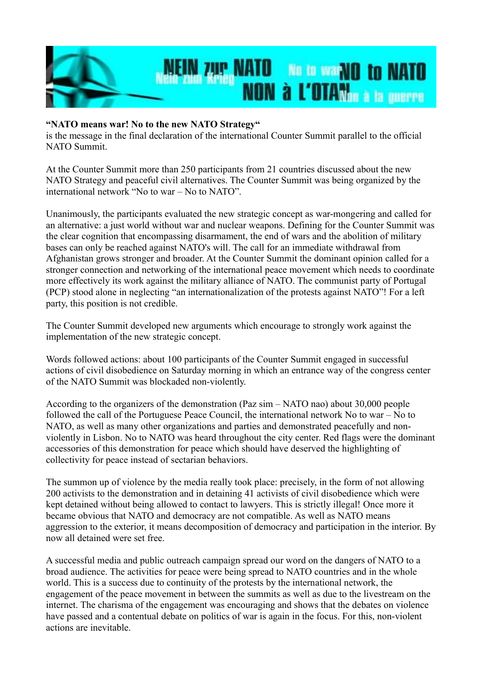

## **"NATO means war! No to the new NATO Strategy"**

is the message in the final declaration of the international Counter Summit parallel to the official NATO Summit.

At the Counter Summit more than 250 participants from 21 countries discussed about the new NATO Strategy and peaceful civil alternatives. The Counter Summit was being organized by the international network "No to war – No to NATO".

Unanimously, the participants evaluated the new strategic concept as war-mongering and called for an alternative: a just world without war and nuclear weapons. Defining for the Counter Summit was the clear cognition that encompassing disarmament, the end of wars and the abolition of military bases can only be reached against NATO's will. The call for an immediate withdrawal from Afghanistan grows stronger and broader. At the Counter Summit the dominant opinion called for a stronger connection and networking of the international peace movement which needs to coordinate more effectively its work against the military alliance of NATO. The communist party of Portugal (PCP) stood alone in neglecting "an internationalization of the protests against NATO"! For a left party, this position is not credible.

The Counter Summit developed new arguments which encourage to strongly work against the implementation of the new strategic concept.

Words followed actions: about 100 participants of the Counter Summit engaged in successful actions of civil disobedience on Saturday morning in which an entrance way of the congress center of the NATO Summit was blockaded non-violently.

According to the organizers of the demonstration (Paz sim – NATO nao) about 30,000 people followed the call of the Portuguese Peace Council, the international network No to war – No to NATO, as well as many other organizations and parties and demonstrated peacefully and nonviolently in Lisbon. No to NATO was heard throughout the city center. Red flags were the dominant accessories of this demonstration for peace which should have deserved the highlighting of collectivity for peace instead of sectarian behaviors.

The summon up of violence by the media really took place: precisely, in the form of not allowing 200 activists to the demonstration and in detaining 41 activists of civil disobedience which were kept detained without being allowed to contact to lawyers. This is strictly illegal! Once more it became obvious that NATO and democracy are not compatible. As well as NATO means aggression to the exterior, it means decomposition of democracy and participation in the interior. By now all detained were set free.

A successful media and public outreach campaign spread our word on the dangers of NATO to a broad audience. The activities for peace were being spread to NATO countries and in the whole world. This is a success due to continuity of the protests by the international network, the engagement of the peace movement in between the summits as well as due to the livestream on the internet. The charisma of the engagement was encouraging and shows that the debates on violence have passed and a contentual debate on politics of war is again in the focus. For this, non-violent actions are inevitable.